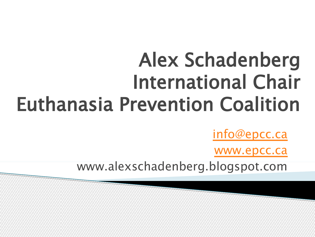## Alex Schadenberg International Chair Euthanasia Prevention Coalition

[info@epcc.ca](mailto:info@epcc.ca)

[www.epcc.ca](http://www.epcc.ca/)

www.alexschadenberg.blogspot.com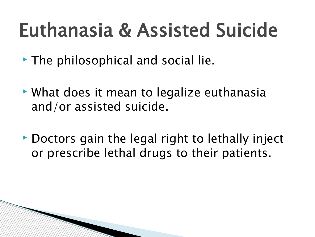- $\triangleright$  The philosophical and social lie.
- What does it mean to legalize euthanasia and/or assisted suicide.
- Doctors gain the legal right to lethally inject or prescribe lethal drugs to their patients.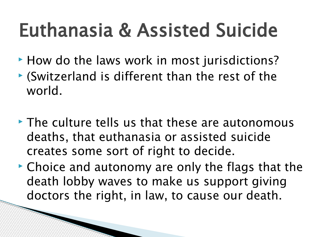- How do the laws work in most jurisdictions?
- (Switzerland is different than the rest of the world.
- $\triangleright$  The culture tells us that these are autonomous deaths, that euthanasia or assisted suicide creates some sort of right to decide.
- ► Choice and autonomy are only the flags that the death lobby waves to make us support giving doctors the right, in law, to cause our death.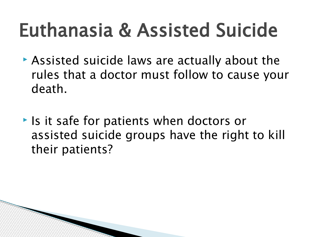- Assisted suicide laws are actually about the rules that a doctor must follow to cause your death.
- **If is a search in the set of patients when doctors or** assisted suicide groups have the right to kill their patients?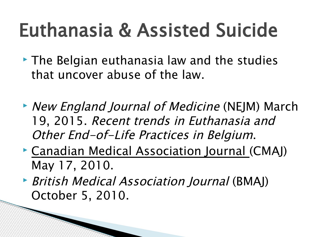- The Belgian euthanasia law and the studies that uncover abuse of the law.
- New England Journal of Medicine (NEJM) March 19, 2015. Recent trends in Euthanasia and Other End-of-Life Practices in Belgium.
- Canadian Medical Association Journal (CMAJ) May 17, 2010.
- ▶ British Medical Association Journal (BMAJ) October 5, 2010.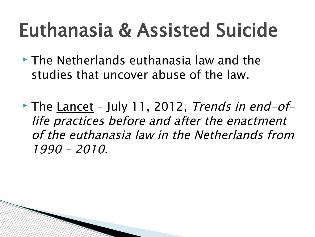- The Netherlands euthanasia law and the studies that uncover abuse of the law.
- The Lancet July 11, 2012, Trends in end-oflife practices before and after the enactment of the euthanasia law in the Netherlands from 1990 – 2010.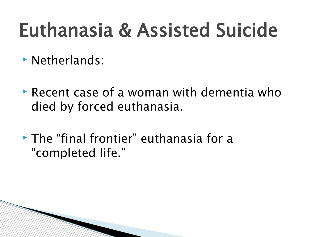- Netherlands:
- Recent case of a woman with dementia who died by forced euthanasia.
- The "final frontier" euthanasia for a "completed life."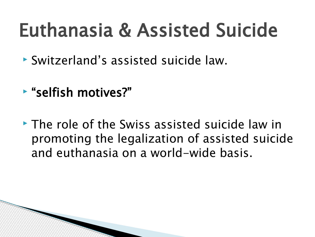- Switzerland's assisted suicide law.
- "selfish motives?"
- The role of the Swiss assisted suicide law in promoting the legalization of assisted suicide and euthanasia on a world-wide basis.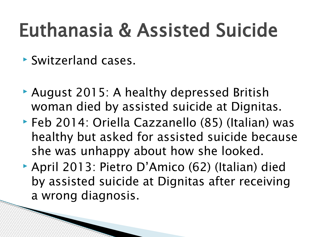- Switzerland cases.
- August 2015: A healthy depressed British woman died by assisted suicide at Dignitas.
- ▶ Feb 2014: Oriella Cazzanello (85) (Italian) was healthy but asked for assisted suicide because she was unhappy about how she looked.
- April 2013: Pietro D'Amico (62) (Italian) died by assisted suicide at Dignitas after receiving a wrong diagnosis.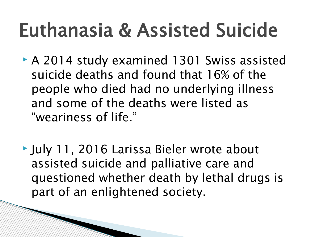- A 2014 study examined 1301 Swiss assisted suicide deaths and found that 16% of the people who died had no underlying illness and some of the deaths were listed as "weariness of life."
- July 11, 2016 Larissa Bieler wrote about assisted suicide and palliative care and questioned whether death by lethal drugs is part of an enlightened society.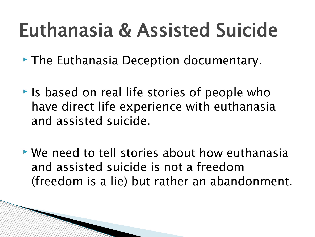- The Euthanasia Deception documentary.
- **If** is based on real life stories of people who have direct life experience with euthanasia and assisted suicide.
- We need to tell stories about how euthanasia and assisted suicide is not a freedom (freedom is a lie) but rather an abandonment.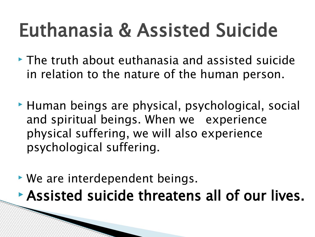- The truth about euthanasia and assisted suicide in relation to the nature of the human person.
- Human beings are physical, psychological, social and spiritual beings. When we experience physical suffering, we will also experience psychological suffering.
- We are interdependent beings. Assisted suicide threatens all of our lives.